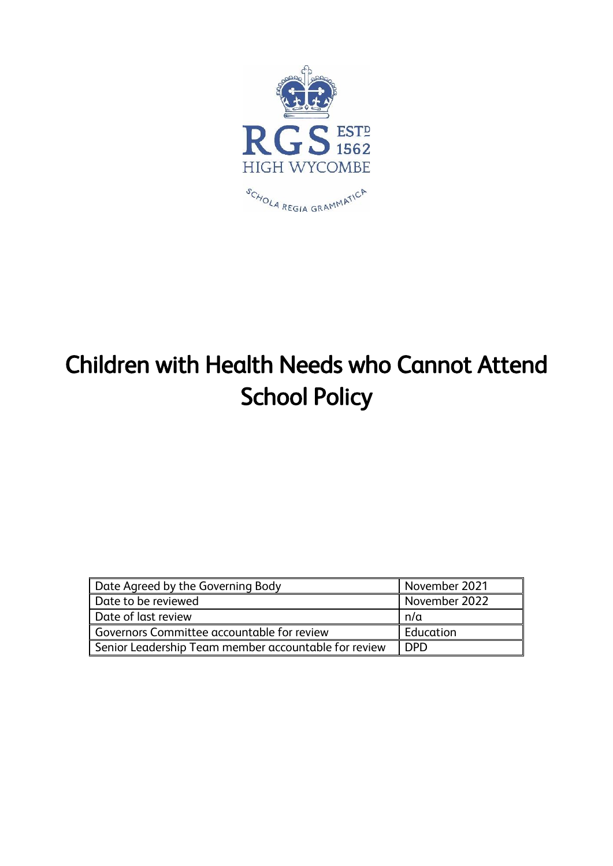

# Children with Health Needs who Cannot Attend School Policy

| Date Agreed by the Governing Body                    | November 2021 |
|------------------------------------------------------|---------------|
| Date to be reviewed                                  | November 2022 |
| Date of last review                                  | n/a           |
| Governors Committee accountable for review           | Education     |
| Senior Leadership Team member accountable for review | <b>DPD</b>    |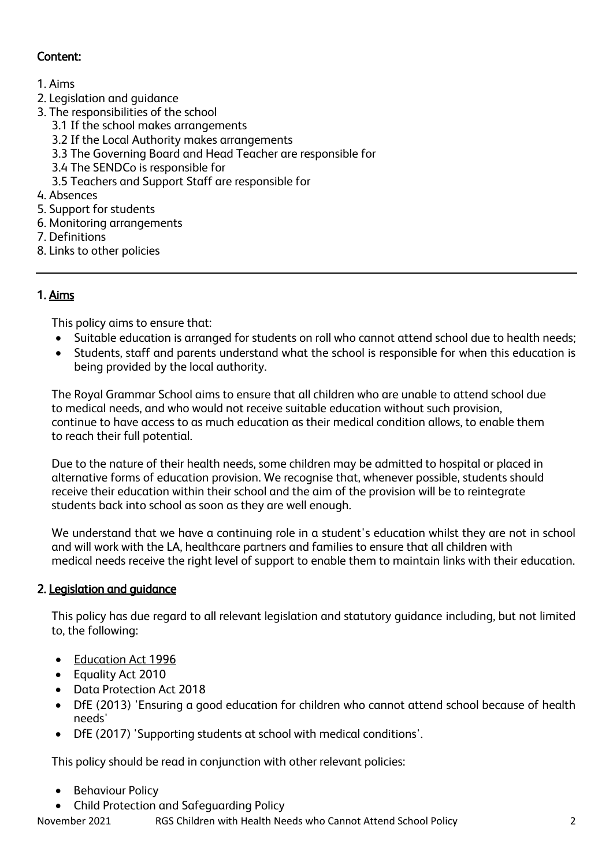# Content:

- 1. Aims
- 2. Legislation and guidance
- 3. The responsibilities of the school
	- 3.1 If the school makes arrangements
	- 3.2 If the Local Authority makes arrangements
	- 3.3 The Governing Board and Head Teacher are responsible for
	- 3.4 The SENDCo is responsible for
	- 3.5 Teachers and Support Staff are responsible for
- 4. Absences
- 5. Support for students
- 6. Monitoring arrangements
- 7. Definitions
- 8. Links to other policies

# 1. Aims

This policy aims to ensure that:

- Suitable education is arranged for students on roll who cannot attend school due to health needs;
- Students, staff and parents understand what the school is responsible for when this education is being provided by the local authority.

The Royal Grammar School aims to ensure that all children who are unable to attend school due to medical needs, and who would not receive suitable education without such provision, continue to have access to as much education as their medical condition allows, to enable them to reach their full potential.

Due to the nature of their health needs, some children may be admitted to hospital or placed in alternative forms of education provision. We recognise that, whenever possible, students should receive their education within their school and the aim of the provision will be to reintegrate students back into school as soon as they are well enough.

We understand that we have a continuing role in a student's education whilst they are not in school and will work with the LA, healthcare partners and families to ensure that all children with medical needs receive the right level of support to enable them to maintain links with their education.

## 2. Legislation and guidance

This policy has due regard to all relevant legislation and statutory guidance including, but not limited to, the following:

- [Education Act 1996](https://www.legislation.gov.uk/ukpga/1996/56/section/19)
- Equality Act 2010
- Data Protection Act 2018
- DfE (2013) 'Ensuring a good education for children who cannot attend school because of health needs'
- DfE (2017) 'Supporting students at school with medical conditions'.

This policy should be read in conjunction with other relevant policies:

- **Behaviour Policy**
- Child Protection and Safeguarding Policy

November 2021 RGS Children with Health Needs who Cannot Attend School Policy 2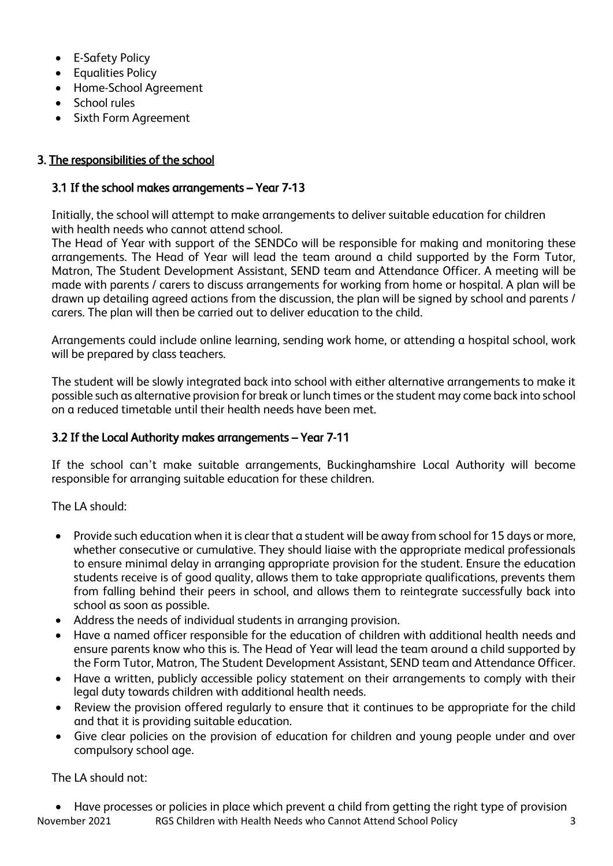- E-Safety Policy
- Equalities Policy
- Home-School Agreement
- School rules
- Sixth Form Agreement

## 3. The responsibilities of the school

#### 3.1 If the school makes arrangements – Year 7-13

Initially, the school will attempt to make arrangements to deliver suitable education for children with health needs who cannot attend school.

The Head of Year with support of the SENDCo will be responsible for making and monitoring these arrangements. The Head of Year will lead the team around a child supported by the Form Tutor, Matron, The Student Development Assistant, SEND team and Attendance Officer. A meeting will be made with parents / carers to discuss arrangements for working from home or hospital. A plan will be drawn up detailing agreed actions from the discussion, the plan will be signed by school and parents / carers. The plan will then be carried out to deliver education to the child.

Arrangements could include online learning, sending work home, or attending a hospital school, work will be prepared by class teachers.

The student will be slowly integrated back into school with either alternative arrangements to make it possible such as alternative provision for break or lunch times or the student may come back into school on a reduced timetable until their health needs have been met.

## 3.2 If the Local Authority makes arrangements – Year 7-11

If the school can't make suitable arrangements, Buckinghamshire Local Authority will become responsible for arranging suitable education for these children.

The LA should:

- Provide such education when it is clear that a student will be away from school for 15 days or more, whether consecutive or cumulative. They should liaise with the appropriate medical professionals to ensure minimal delay in arranging appropriate provision for the student. Ensure the education students receive is of good quality, allows them to take appropriate qualifications, prevents them from falling behind their peers in school, and allows them to reintegrate successfully back into school as soon as possible.
- Address the needs of individual students in arranging provision.
- Have a named officer responsible for the education of children with additional health needs and ensure parents know who this is. The Head of Year will lead the team around a child supported by the Form Tutor, Matron, The Student Development Assistant, SEND team and Attendance Officer.
- Have a written, publicly accessible policy statement on their arrangements to comply with their legal duty towards children with additional health needs.
- Review the provision offered regularly to ensure that it continues to be appropriate for the child and that it is providing suitable education.
- Give clear policies on the provision of education for children and young people under and over compulsory school age.

The LA should not:

November 2021 RGS Children with Health Needs who Cannot Attend School Policy 3 • Have processes or policies in place which prevent a child from getting the right type of provision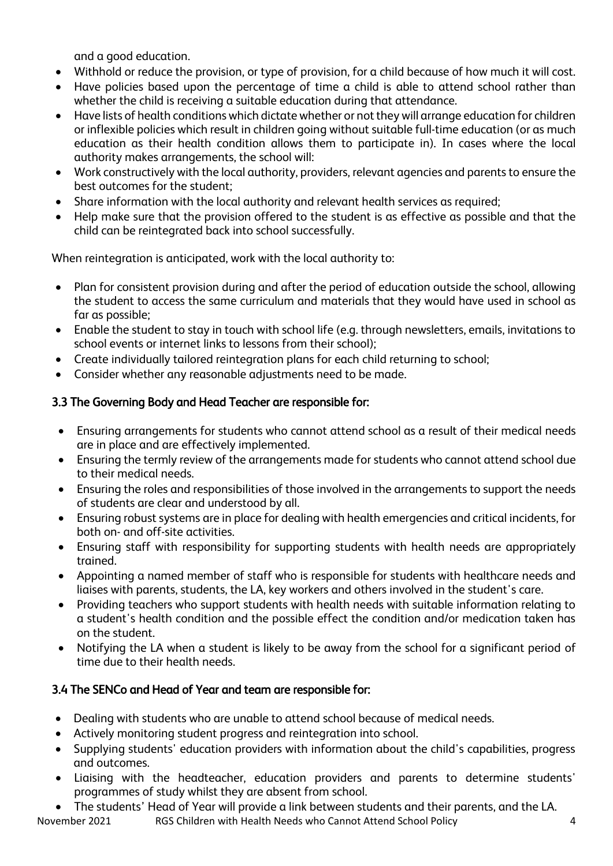and a good education.

- Withhold or reduce the provision, or type of provision, for a child because of how much it will cost.
- Have policies based upon the percentage of time a child is able to attend school rather than whether the child is receiving a suitable education during that attendance.
- Have lists of health conditions which dictate whether or not they will arrange education for children or inflexible policies which result in children going without suitable full-time education (or as much education as their health condition allows them to participate in). In cases where the local authority makes arrangements, the school will:
- Work constructively with the local authority, providers, relevant agencies and parents to ensure the best outcomes for the student;
- Share information with the local authority and relevant health services as required;
- Help make sure that the provision offered to the student is as effective as possible and that the child can be reintegrated back into school successfully.

When reintegration is anticipated, work with the local authority to:

- Plan for consistent provision during and after the period of education outside the school, allowing the student to access the same curriculum and materials that they would have used in school as far as possible;
- Enable the student to stay in touch with school life (e.g. through newsletters, emails, invitations to school events or internet links to lessons from their school);
- Create individually tailored reintegration plans for each child returning to school;
- Consider whether any reasonable adjustments need to be made.

## 3.3 The Governing Body and Head Teacher are responsible for:

- Ensuring arrangements for students who cannot attend school as a result of their medical needs are in place and are effectively implemented.
- Ensuring the termly review of the arrangements made for students who cannot attend school due to their medical needs.
- Ensuring the roles and responsibilities of those involved in the arrangements to support the needs of students are clear and understood by all.
- Ensuring robust systems are in place for dealing with health emergencies and critical incidents, for both on- and off-site activities.
- Ensuring staff with responsibility for supporting students with health needs are appropriately trained.
- Appointing a named member of staff who is responsible for students with healthcare needs and liaises with parents, students, the LA, key workers and others involved in the student's care.
- Providing teachers who support students with health needs with suitable information relating to a student's health condition and the possible effect the condition and/or medication taken has on the student.
- Notifying the LA when a student is likely to be away from the school for a significant period of time due to their health needs.

## 3.4 The SENCo and Head of Year and team are responsible for:

- Dealing with students who are unable to attend school because of medical needs.
- Actively monitoring student progress and reintegration into school.
- Supplying students' education providers with information about the child's capabilities, progress and outcomes.
- Liaising with the headteacher, education providers and parents to determine students' programmes of study whilst they are absent from school.
- The students' Head of Year will provide a link between students and their parents, and the LA.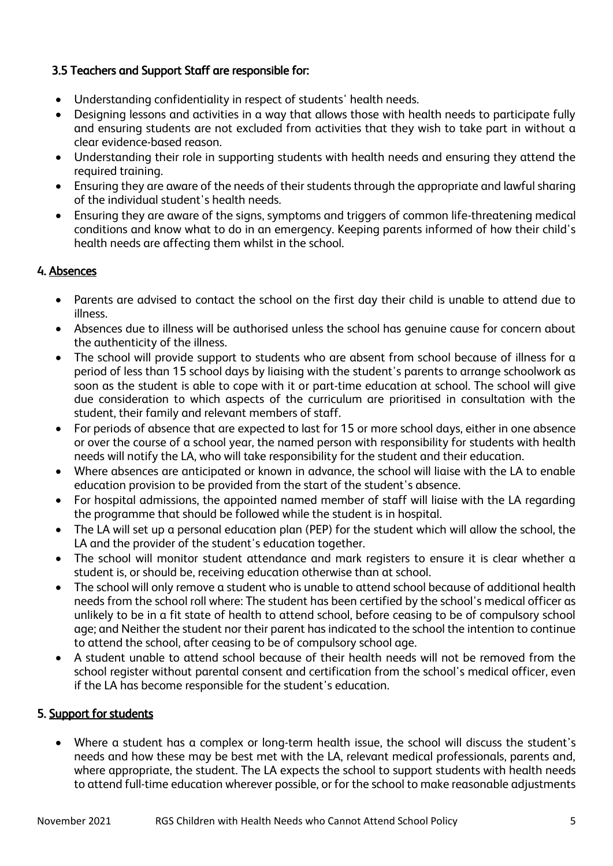#### 3.5 Teachers and Support Staff are responsible for:

- Understanding confidentiality in respect of students' health needs.
- Designing lessons and activities in a way that allows those with health needs to participate fully and ensuring students are not excluded from activities that they wish to take part in without a clear evidence-based reason.
- Understanding their role in supporting students with health needs and ensuring they attend the required training.
- Ensuring they are aware of the needs of their students through the appropriate and lawful sharing of the individual student's health needs.
- Ensuring they are aware of the signs, symptoms and triggers of common life-threatening medical conditions and know what to do in an emergency. Keeping parents informed of how their child's health needs are affecting them whilst in the school.

#### 4. Absences

- Parents are advised to contact the school on the first day their child is unable to attend due to illness.
- Absences due to illness will be authorised unless the school has genuine cause for concern about the authenticity of the illness.
- The school will provide support to students who are absent from school because of illness for a period of less than 15 school days by liaising with the student's parents to arrange schoolwork as soon as the student is able to cope with it or part-time education at school. The school will give due consideration to which aspects of the curriculum are prioritised in consultation with the student, their family and relevant members of staff.
- For periods of absence that are expected to last for 15 or more school days, either in one absence or over the course of a school year, the named person with responsibility for students with health needs will notify the LA, who will take responsibility for the student and their education.
- Where absences are anticipated or known in advance, the school will liaise with the LA to enable education provision to be provided from the start of the student's absence.
- For hospital admissions, the appointed named member of staff will liaise with the LA regarding the programme that should be followed while the student is in hospital.
- The LA will set up a personal education plan (PEP) for the student which will allow the school, the LA and the provider of the student's education together.
- The school will monitor student attendance and mark registers to ensure it is clear whether a student is, or should be, receiving education otherwise than at school.
- The school will only remove a student who is unable to attend school because of additional health needs from the school roll where: The student has been certified by the school's medical officer as unlikely to be in a fit state of health to attend school, before ceasing to be of compulsory school age; and Neither the student nor their parent has indicated to the school the intention to continue to attend the school, after ceasing to be of compulsory school age.
- A student unable to attend school because of their health needs will not be removed from the school register without parental consent and certification from the school's medical officer, even if the LA has become responsible for the student's education.

#### 5. Support for students

• Where a student has a complex or long-term health issue, the school will discuss the student's needs and how these may be best met with the LA, relevant medical professionals, parents and, where appropriate, the student. The LA expects the school to support students with health needs to attend full-time education wherever possible, or for the school to make reasonable adjustments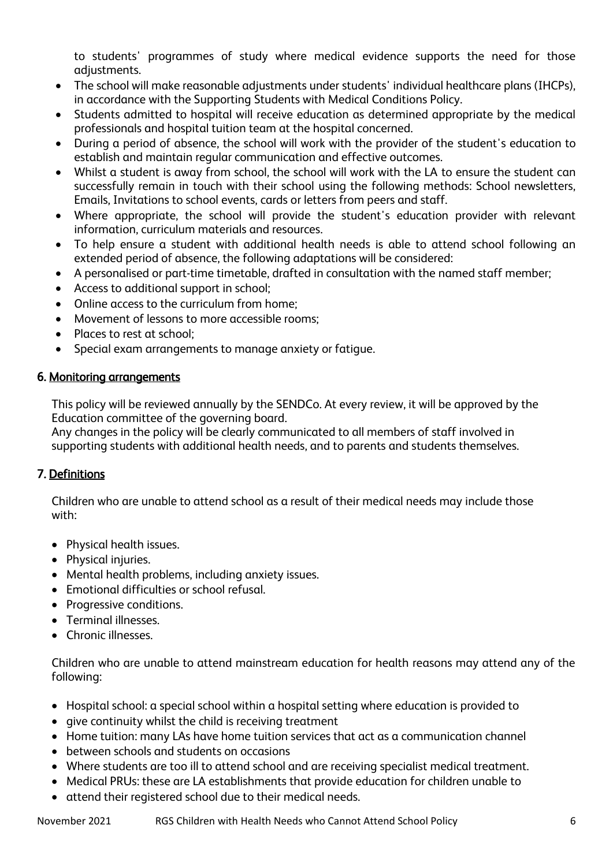to students' programmes of study where medical evidence supports the need for those adjustments.

- The school will make reasonable adjustments under students' individual healthcare plans (IHCPs), in accordance with the Supporting Students with Medical Conditions Policy.
- Students admitted to hospital will receive education as determined appropriate by the medical professionals and hospital tuition team at the hospital concerned.
- During a period of absence, the school will work with the provider of the student's education to establish and maintain regular communication and effective outcomes.
- Whilst a student is away from school, the school will work with the LA to ensure the student can successfully remain in touch with their school using the following methods: School newsletters, Emails, Invitations to school events, cards or letters from peers and staff.
- Where appropriate, the school will provide the student's education provider with relevant information, curriculum materials and resources.
- To help ensure a student with additional health needs is able to attend school following an extended period of absence, the following adaptations will be considered:
- A personalised or part-time timetable, drafted in consultation with the named staff member;
- Access to additional support in school;
- Online access to the curriculum from home;
- Movement of lessons to more accessible rooms;
- Places to rest at school;
- Special exam arrangements to manage anxiety or fatigue.

## 6. Monitoring arrangements

This policy will be reviewed annually by the SENDCo. At every review, it will be approved by the Education committee of the governing board.

Any changes in the policy will be clearly communicated to all members of staff involved in supporting students with additional health needs, and to parents and students themselves.

## 7. Definitions

Children who are unable to attend school as a result of their medical needs may include those with:

- Physical health issues.
- Physical injuries.
- Mental health problems, including anxiety issues.
- Emotional difficulties or school refusal.
- Progressive conditions.
- Terminal illnesses.
- Chronic illnesses.

Children who are unable to attend mainstream education for health reasons may attend any of the following:

- Hospital school: a special school within a hospital setting where education is provided to
- give continuity whilst the child is receiving treatment
- Home tuition: many LAs have home tuition services that act as a communication channel
- between schools and students on occasions
- Where students are too ill to attend school and are receiving specialist medical treatment.
- Medical PRUs: these are LA establishments that provide education for children unable to
- attend their registered school due to their medical needs.